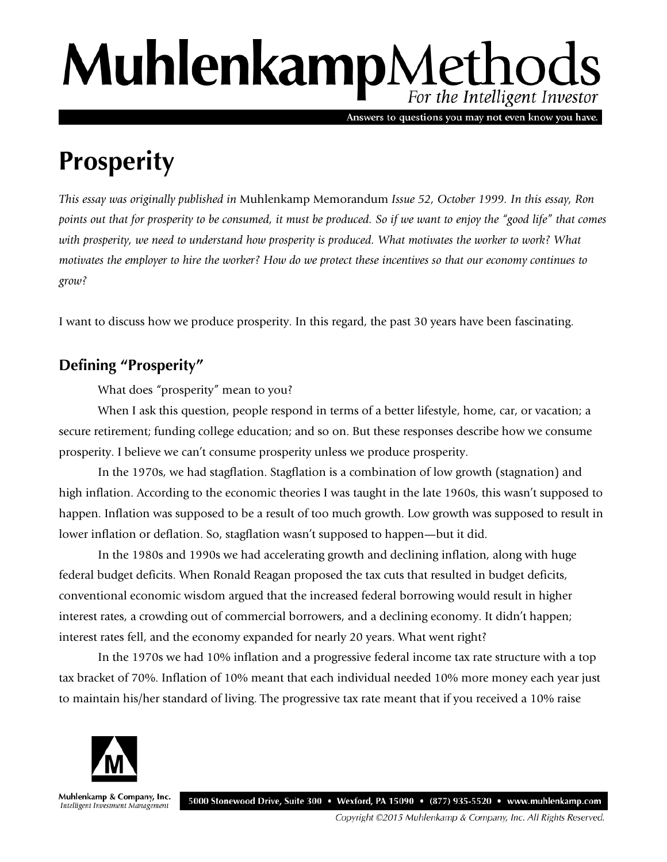# MuhlenkampMethods

Answers to questions you may not even know you have.

# **Prosperity**

*This essay was originally published in* Muhlenkamp Memorandum *Issue 52, October 1999. In this essay, Ron points out that for prosperity to be consumed, it must be produced. So if we want to enjoy the "good life" that comes with prosperity, we need to understand how prosperity is produced. What motivates the worker to work? What motivates the employer to hire the worker? How do we protect these incentives so that our economy continues to grow?* 

I want to discuss how we produce prosperity. In this regard, the past 30 years have been fascinating.

### **Defining "Prosperity"**

What does "prosperity" mean to you?

When I ask this question, people respond in terms of a better lifestyle, home, car, or vacation; a secure retirement; funding college education; and so on. But these responses describe how we consume prosperity. I believe we can't consume prosperity unless we produce prosperity.

In the 1970s, we had stagflation. Stagflation is a combination of low growth (stagnation) and high inflation. According to the economic theories I was taught in the late 1960s, this wasn't supposed to happen. Inflation was supposed to be a result of too much growth. Low growth was supposed to result in lower inflation or deflation. So, stagflation wasn't supposed to happen—but it did.

In the 1980s and 1990s we had accelerating growth and declining inflation, along with huge federal budget deficits. When Ronald Reagan proposed the tax cuts that resulted in budget deficits, conventional economic wisdom argued that the increased federal borrowing would result in higher interest rates, a crowding out of commercial borrowers, and a declining economy. It didn't happen; interest rates fell, and the economy expanded for nearly 20 years. What went right?

In the 1970s we had 10% inflation and a progressive federal income tax rate structure with a top tax bracket of 70%. Inflation of 10% meant that each individual needed 10% more money each year just to maintain his/her standard of living. The progressive tax rate meant that if you received a 10% raise



Muhlenkamp & Company, Inc. Intelligent Investment Management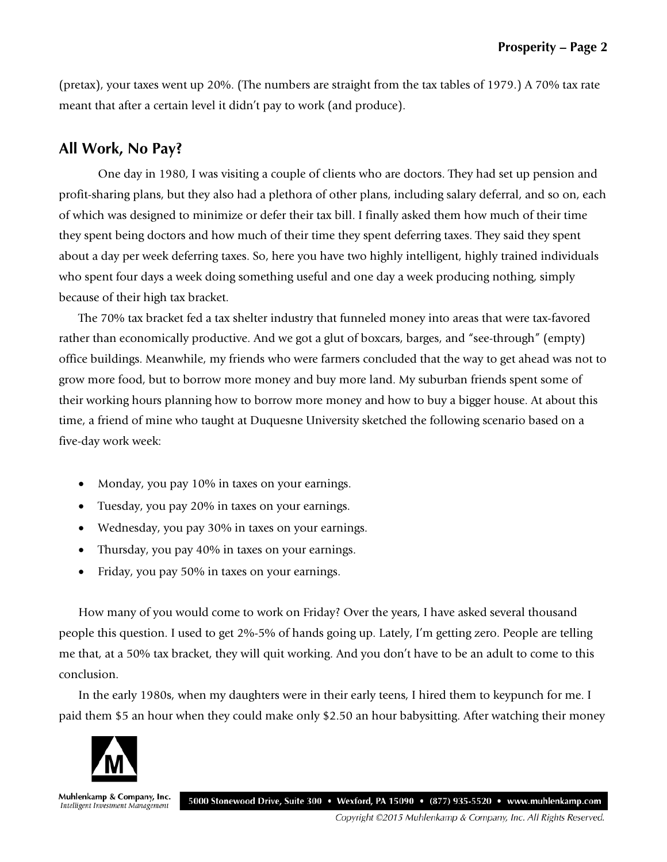(pretax), your taxes went up 20%. (The numbers are straight from the tax tables of 1979.) A 70% tax rate meant that after a certain level it didn't pay to work (and produce).

## **All Work, No Pay?**

One day in 1980, I was visiting a couple of clients who are doctors. They had set up pension and profit-sharing plans, but they also had a plethora of other plans, including salary deferral, and so on, each of which was designed to minimize or defer their tax bill. I finally asked them how much of their time they spent being doctors and how much of their time they spent deferring taxes. They said they spent about a day per week deferring taxes. So, here you have two highly intelligent, highly trained individuals who spent four days a week doing something useful and one day a week producing nothing, simply because of their high tax bracket.

The 70% tax bracket fed a tax shelter industry that funneled money into areas that were tax-favored rather than economically productive. And we got a glut of boxcars, barges, and "see-through" (empty) office buildings. Meanwhile, my friends who were farmers concluded that the way to get ahead was not to grow more food, but to borrow more money and buy more land. My suburban friends spent some of their working hours planning how to borrow more money and how to buy a bigger house. At about this time, a friend of mine who taught at Duquesne University sketched the following scenario based on a five-day work week:

- Monday, you pay 10% in taxes on your earnings.
- Tuesday, you pay 20% in taxes on your earnings.
- Wednesday, you pay 30% in taxes on your earnings.
- Thursday, you pay 40% in taxes on your earnings.
- Friday, you pay 50% in taxes on your earnings.

How many of you would come to work on Friday? Over the years, I have asked several thousand people this question. I used to get 2%-5% of hands going up. Lately, I'm getting zero. People are telling me that, at a 50% tax bracket, they will quit working. And you don't have to be an adult to come to this conclusion.

In the early 1980s, when my daughters were in their early teens, I hired them to keypunch for me. I paid them \$5 an hour when they could make only \$2.50 an hour babysitting. After watching their money



Muhlenkamp & Company, Inc. Intelligent Investment Management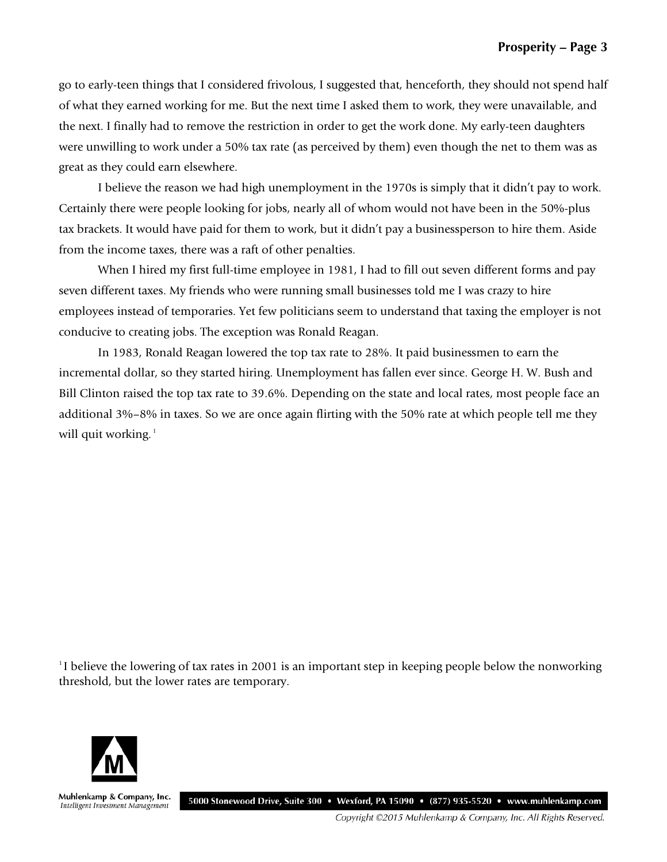go to early-teen things that I considered frivolous, I suggested that, henceforth, they should not spend half of what they earned working for me. But the next time I asked them to work, they were unavailable, and the next. I finally had to remove the restriction in order to get the work done. My early-teen daughters were unwilling to work under a 50% tax rate (as perceived by them) even though the net to them was as great as they could earn elsewhere.

I believe the reason we had high unemployment in the 1970s is simply that it didn't pay to work. Certainly there were people looking for jobs, nearly all of whom would not have been in the 50%-plus tax brackets. It would have paid for them to work, but it didn't pay a businessperson to hire them. Aside from the income taxes, there was a raft of other penalties.

When I hired my first full-time employee in 1981, I had to fill out seven different forms and pay seven different taxes. My friends who were running small businesses told me I was crazy to hire employees instead of temporaries. Yet few politicians seem to understand that taxing the employer is not conducive to creating jobs. The exception was Ronald Reagan.

In 1983, Ronald Reagan lowered the top tax rate to 28%. It paid businessmen to earn the incremental dollar, so they started hiring. Unemployment has fallen ever since. George H. W. Bush and Bill Clinton raised the top tax rate to 39.6%. Depending on the state and local rates, most people face an additional 3%–8% in taxes. So we are once again flirting with the 50% rate at which people tell me they will quit working.<sup>1</sup>

<sup>1</sup>I believe the lowering of tax rates in 2001 is an important step in keeping people below the nonworking threshold, but the lower rates are temporary.



Muhlenkamp & Company, Inc. Intelligent Investment Management

5000 Stonewood Drive, Suite 300 • Wexford, PA 15090 • (877) 935-5520 • www.muhlenkamp.com

Copyright ©2015 Muhlenkamp & Company, Inc. All Rights Reserved.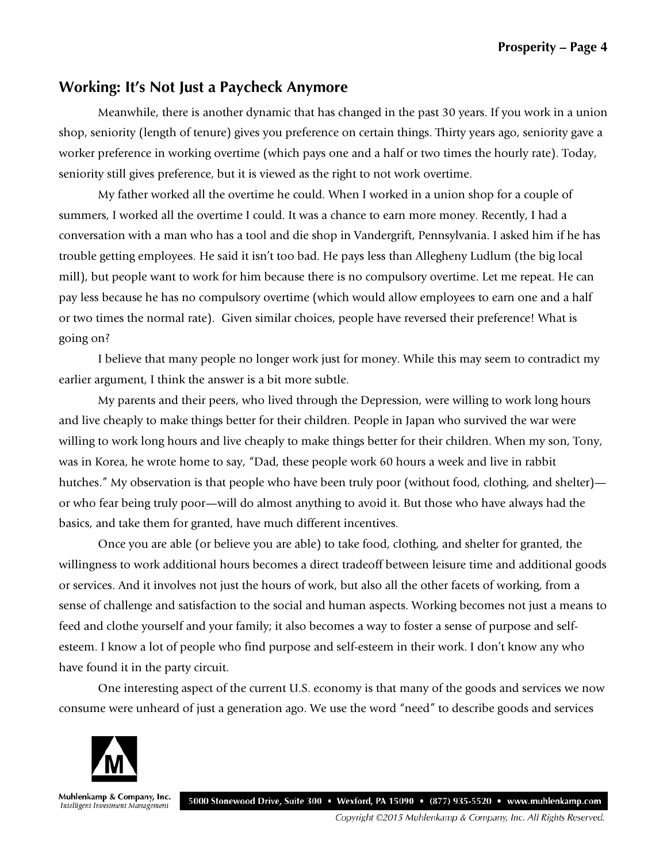#### **Working: It's Not Just a Paycheck Anymore**

Meanwhile, there is another dynamic that has changed in the past 30 years. If you work in a union shop, seniority (length of tenure) gives you preference on certain things. Thirty years ago, seniority gave a worker preference in working overtime (which pays one and a half or two times the hourly rate). Today, seniority still gives preference, but it is viewed as the right to not work overtime.

My father worked all the overtime he could. When I worked in a union shop for a couple of summers, I worked all the overtime I could. It was a chance to earn more money. Recently, I had a conversation with a man who has a tool and die shop in Vandergrift, Pennsylvania. I asked him if he has trouble getting employees. He said it isn't too bad. He pays less than Allegheny Ludlum (the big local mill), but people want to work for him because there is no compulsory overtime. Let me repeat. He can pay less because he has no compulsory overtime (which would allow employees to earn one and a half or two times the normal rate). Given similar choices, people have reversed their preference! What is going on?

I believe that many people no longer work just for money. While this may seem to contradict my earlier argument, I think the answer is a bit more subtle.

My parents and their peers, who lived through the Depression, were willing to work long hours and live cheaply to make things better for their children. People in Japan who survived the war were willing to work long hours and live cheaply to make things better for their children. When my son, Tony, was in Korea, he wrote home to say, "Dad, these people work 60 hours a week and live in rabbit hutches." My observation is that people who have been truly poor (without food, clothing, and shelter) or who fear being truly poor—will do almost anything to avoid it. But those who have always had the basics, and take them for granted, have much different incentives.

Once you are able (or believe you are able) to take food, clothing, and shelter for granted, the willingness to work additional hours becomes a direct tradeoff between leisure time and additional goods or services. And it involves not just the hours of work, but also all the other facets of working, from a sense of challenge and satisfaction to the social and human aspects. Working becomes not just a means to feed and clothe yourself and your family; it also becomes a way to foster a sense of purpose and selfesteem. I know a lot of people who find purpose and self-esteem in their work. I don't know any who have found it in the party circuit.

One interesting aspect of the current U.S. economy is that many of the goods and services we now consume were unheard of just a generation ago. We use the word "need" to describe goods and services



Muhlenkamp & Company, Inc. Intelligent Investment Management

Copyright ©2015 Muhlenkamp & Company, Inc. All Rights Reserved.